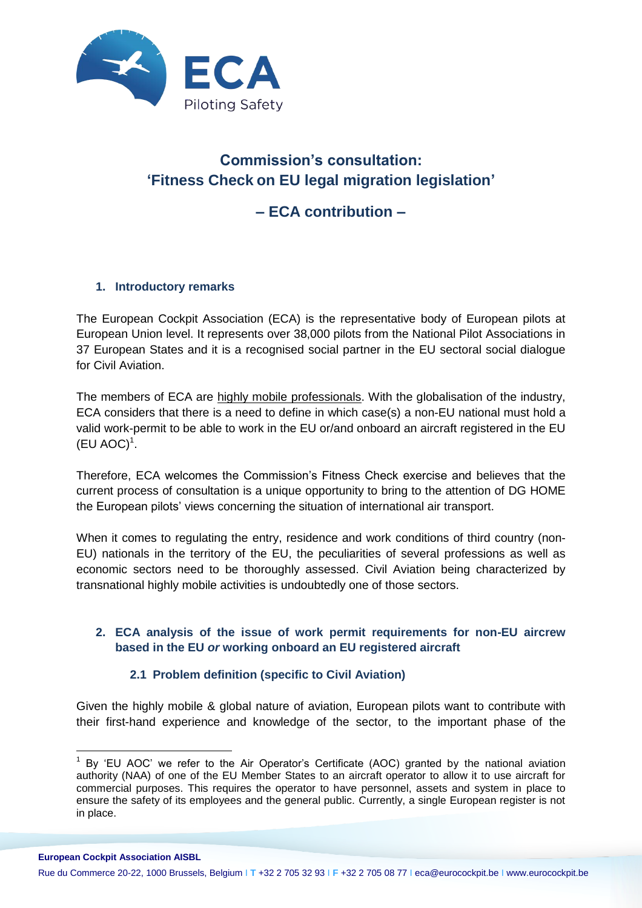

# **Commission's consultation: 'Fitness Check on EU legal migration legislation'**

## **– ECA contribution –**

#### **1. Introductory remarks**

The European Cockpit Association (ECA) is the representative body of European pilots at European Union level. It represents over 38,000 pilots from the National Pilot Associations in 37 European States and it is a recognised social partner in the EU sectoral social dialogue for Civil Aviation.

The members of ECA are highly mobile professionals. With the globalisation of the industry, ECA considers that there is a need to define in which case(s) a non-EU national must hold a valid work-permit to be able to work in the EU or/and onboard an aircraft registered in the EU  $(EU AOC)^1$ .

Therefore, ECA welcomes the Commission's Fitness Check exercise and believes that the current process of consultation is a unique opportunity to bring to the attention of DG HOME the European pilots' views concerning the situation of international air transport.

When it comes to regulating the entry, residence and work conditions of third country (non-EU) nationals in the territory of the EU, the peculiarities of several professions as well as economic sectors need to be thoroughly assessed. Civil Aviation being characterized by transnational highly mobile activities is undoubtedly one of those sectors.

#### **2. ECA analysis of the issue of work permit requirements for non-EU aircrew based in the EU** *or* **working onboard an EU registered aircraft**

#### **2.1 Problem definition (specific to Civil Aviation)**

Given the highly mobile & global nature of aviation, European pilots want to contribute with their first-hand experience and knowledge of the sector, to the important phase of the

 $\overline{a}$  $1$  By 'EU AOC' we refer to the Air Operator's Certificate (AOC) granted by the national aviation authority (NAA) of one of the EU Member States to an aircraft operator to allow it to use aircraft for commercial purposes. This requires the operator to have personnel, assets and system in place to ensure the safety of its employees and the general public. Currently, a single European register is not in place.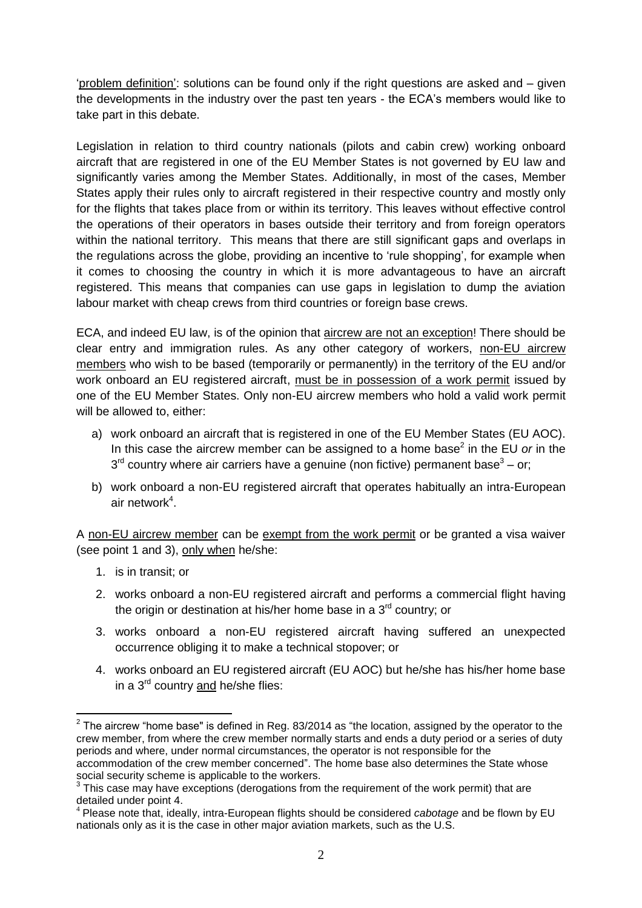'problem definition': solutions can be found only if the right questions are asked and – given the developments in the industry over the past ten years - the ECA's members would like to take part in this debate.

Legislation in relation to third country nationals (pilots and cabin crew) working onboard aircraft that are registered in one of the EU Member States is not governed by EU law and significantly varies among the Member States. Additionally, in most of the cases, Member States apply their rules only to aircraft registered in their respective country and mostly only for the flights that takes place from or within its territory. This leaves without effective control the operations of their operators in bases outside their territory and from foreign operators within the national territory. This means that there are still significant gaps and overlaps in the regulations across the globe, providing an incentive to 'rule shopping', for example when it comes to choosing the country in which it is more advantageous to have an aircraft registered. This means that companies can use gaps in legislation to dump the aviation labour market with cheap crews from third countries or foreign base crews.

ECA, and indeed EU law, is of the opinion that aircrew are not an exception! There should be clear entry and immigration rules. As any other category of workers, non-EU aircrew members who wish to be based (temporarily or permanently) in the territory of the EU and/or work onboard an EU registered aircraft, must be in possession of a work permit issued by one of the EU Member States. Only non-EU aircrew members who hold a valid work permit will be allowed to, either:

- a) work onboard an aircraft that is registered in one of the EU Member States (EU AOC). In this case the aircrew member can be assigned to a home base<sup>2</sup> in the EU or in the  $3<sup>rd</sup>$  country where air carriers have a genuine (non fictive) permanent base $3$  – or;
- b) work onboard a non-EU registered aircraft that operates habitually an intra-European air network $4$ .

A non-EU aircrew member can be exempt from the work permit or be granted a visa waiver (see point 1 and 3), only when he/she:

1. is in transit; or

 $\overline{a}$ 

- 2. works onboard a non-EU registered aircraft and performs a commercial flight having the origin or destination at his/her home base in a 3<sup>rd</sup> country; or
- 3. works onboard a non-EU registered aircraft having suffered an unexpected occurrence obliging it to make a technical stopover; or
- 4. works onboard an EU registered aircraft (EU AOC) but he/she has his/her home base in a 3<sup>rd</sup> country and he/she flies:

 $^{\text{2}}$  The aircrew "home base" is defined in Reg. 83/2014 as "the location, assigned by the operator to the crew member, from where the crew member normally starts and ends a duty period or a series of duty periods and where, under normal circumstances, the operator is not responsible for the accommodation of the crew member concerned". The home base also determines the State whose social security scheme is applicable to the workers.

 $3$  This case may have exceptions (derogations from the requirement of the work permit) that are detailed under point 4.

<sup>4</sup> Please note that, ideally, intra-European flights should be considered *cabotage* and be flown by EU nationals only as it is the case in other major aviation markets, such as the U.S.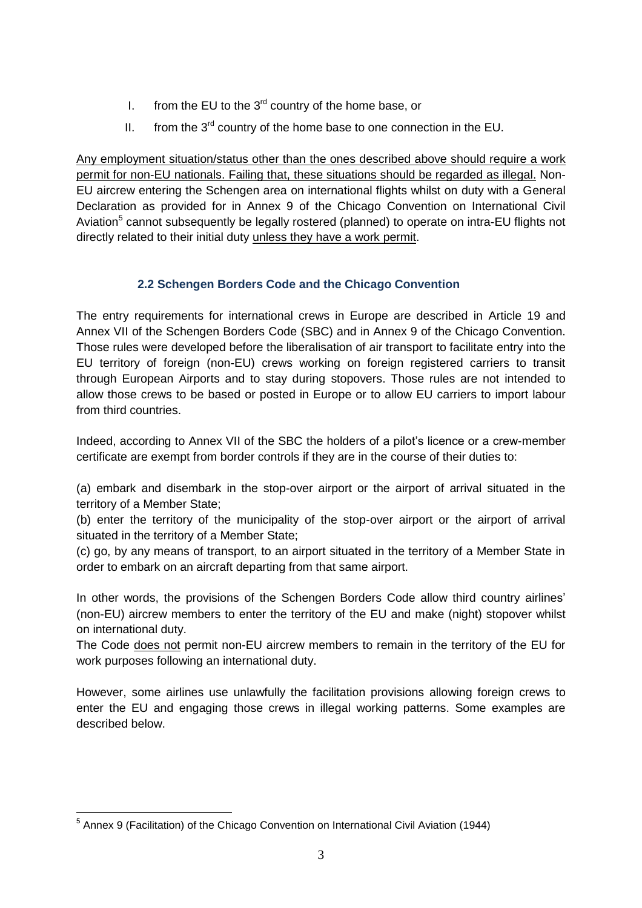- I. from the EU to the  $3<sup>rd</sup>$  country of the home base, or
- II. from the  $3^{rd}$  country of the home base to one connection in the EU.

Any employment situation/status other than the ones described above should require a work permit for non-EU nationals. Failing that, these situations should be regarded as illegal. Non-EU aircrew entering the Schengen area on international flights whilst on duty with a General Declaration as provided for in Annex 9 of the Chicago Convention on International Civil Aviation<sup>5</sup> cannot subsequently be legally rostered (planned) to operate on intra-EU flights not directly related to their initial duty unless they have a work permit.

### **2.2 Schengen Borders Code and the Chicago Convention**

The entry requirements for international crews in Europe are described in Article 19 and Annex VII of the Schengen Borders Code (SBC) and in Annex 9 of the Chicago Convention. Those rules were developed before the liberalisation of air transport to facilitate entry into the EU territory of foreign (non-EU) crews working on foreign registered carriers to transit through European Airports and to stay during stopovers. Those rules are not intended to allow those crews to be based or posted in Europe or to allow EU carriers to import labour from third countries.

Indeed, according to Annex VII of the SBC the holders of a pilot's licence or a crew-member certificate are exempt from border controls if they are in the course of their duties to:

(a) embark and disembark in the stop-over airport or the airport of arrival situated in the territory of a Member State;

(b) enter the territory of the municipality of the stop-over airport or the airport of arrival situated in the territory of a Member State;

(c) go, by any means of transport, to an airport situated in the territory of a Member State in order to embark on an aircraft departing from that same airport.

In other words, the provisions of the Schengen Borders Code allow third country airlines' (non-EU) aircrew members to enter the territory of the EU and make (night) stopover whilst on international duty.

The Code does not permit non-EU aircrew members to remain in the territory of the EU for work purposes following an international duty.

However, some airlines use unlawfully the facilitation provisions allowing foreign crews to enter the EU and engaging those crews in illegal working patterns. Some examples are described below.

 $\overline{a}$ <sup>5</sup> Annex 9 (Facilitation) of the Chicago Convention on International Civil Aviation (1944)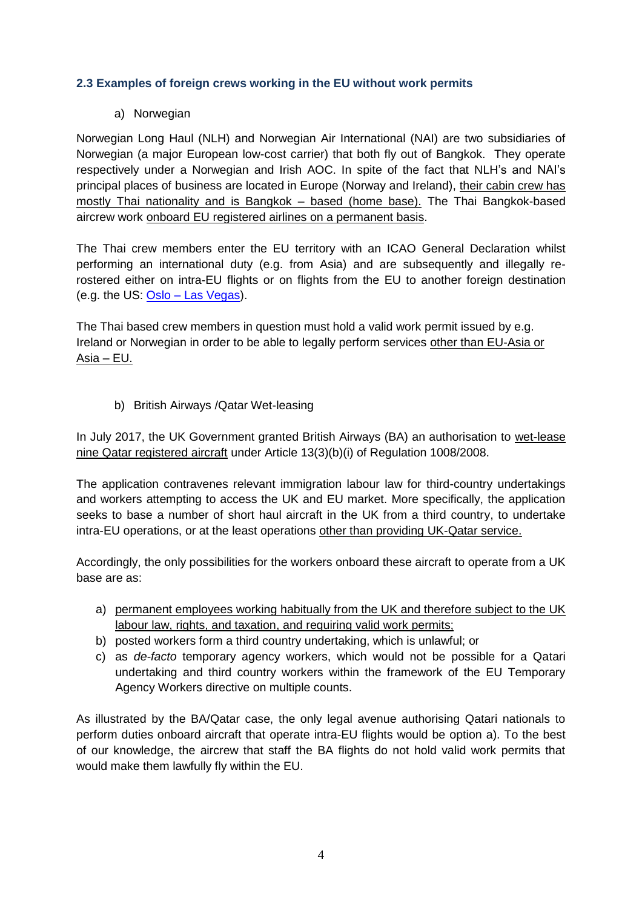#### **2.3 Examples of foreign crews working in the EU without work permits**

#### a) Norwegian

Norwegian Long Haul (NLH) and Norwegian Air International (NAI) are two subsidiaries of Norwegian (a major European low-cost carrier) that both fly out of Bangkok. They operate respectively under a Norwegian and Irish AOC. In spite of the fact that NLH's and NAI's principal places of business are located in Europe (Norway and Ireland), their cabin crew has mostly Thai nationality and is Bangkok – based (home base). The Thai Bangkok-based aircrew work onboard EU registered airlines on a permanent basis.

The Thai crew members enter the EU territory with an ICAO General Declaration whilst performing an international duty (e.g. from Asia) and are subsequently and illegally rerostered either on intra-EU flights or on flights from the EU to another foreign destination (e.g. the US: Oslo – [Las Vegas\)](https://www.eurocockpit.be/news/ceci-nest-pas-une-thai-crew).

The Thai based crew members in question must hold a valid work permit issued by e.g. Ireland or Norwegian in order to be able to legally perform services other than EU-Asia or  $Asia$  – EU.

b) British Airways /Qatar Wet-leasing

In July 2017, the UK Government granted British Airways (BA) an authorisation to wet-lease nine Qatar registered aircraft under Article 13(3)(b)(i) of Regulation 1008/2008.

The application contravenes relevant immigration labour law for third-country undertakings and workers attempting to access the UK and EU market. More specifically, the application seeks to base a number of short haul aircraft in the UK from a third country, to undertake intra-EU operations, or at the least operations other than providing UK-Qatar service.

Accordingly, the only possibilities for the workers onboard these aircraft to operate from a UK base are as:

- a) permanent employees working habitually from the UK and therefore subject to the UK labour law, rights, and taxation, and requiring valid work permits;
- b) posted workers form a third country undertaking, which is unlawful; or
- c) as *de-facto* temporary agency workers, which would not be possible for a Qatari undertaking and third country workers within the framework of the EU Temporary Agency Workers directive on multiple counts.

As illustrated by the BA/Qatar case, the only legal avenue authorising Qatari nationals to perform duties onboard aircraft that operate intra-EU flights would be option a). To the best of our knowledge, the aircrew that staff the BA flights do not hold valid work permits that would make them lawfully fly within the EU.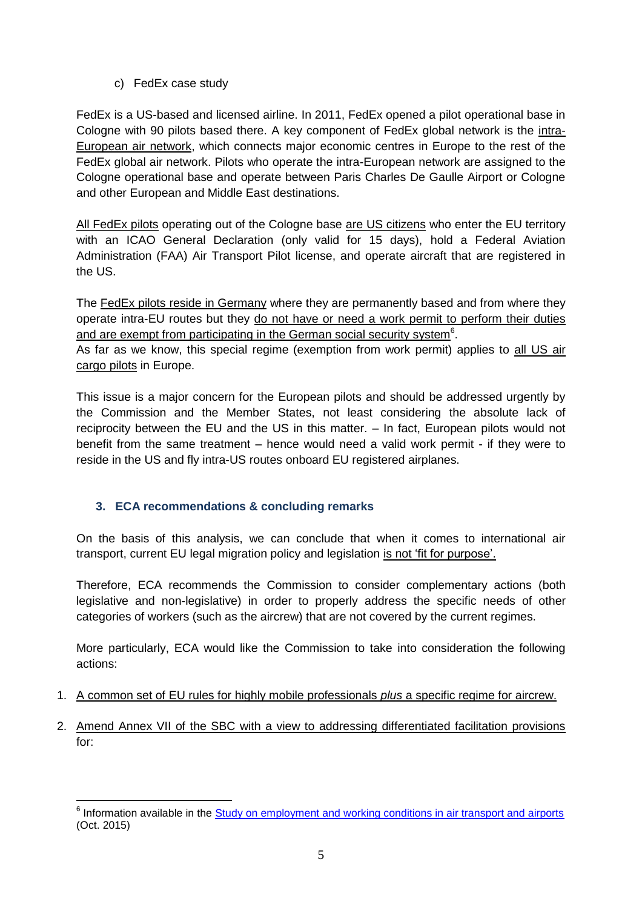#### c) FedEx case study

FedEx is a US-based and licensed airline. In 2011, FedEx opened a pilot operational base in Cologne with 90 pilots based there. A key component of FedEx global network is the intra-European air network, which connects major economic centres in Europe to the rest of the FedEx global air network. Pilots who operate the intra-European network are assigned to the Cologne operational base and operate between Paris Charles De Gaulle Airport or Cologne and other European and Middle East destinations.

All FedEx pilots operating out of the Cologne base are US citizens who enter the EU territory with an ICAO General Declaration (only valid for 15 days), hold a Federal Aviation Administration (FAA) Air Transport Pilot license, and operate aircraft that are registered in the US.

The FedEx pilots reside in Germany where they are permanently based and from where they operate intra-EU routes but they do not have or need a work permit to perform their duties and are exempt from participating in the German social security system<sup>6</sup>.

As far as we know, this special regime (exemption from work permit) applies to all US air cargo pilots in Europe.

This issue is a major concern for the European pilots and should be addressed urgently by the Commission and the Member States, not least considering the absolute lack of reciprocity between the EU and the US in this matter. – In fact, European pilots would not benefit from the same treatment – hence would need a valid work permit - if they were to reside in the US and fly intra-US routes onboard EU registered airplanes.

#### **3. ECA recommendations & concluding remarks**

 $\overline{a}$ 

On the basis of this analysis, we can conclude that when it comes to international air transport, current EU legal migration policy and legislation is not 'fit for purpose'.

Therefore, ECA recommends the Commission to consider complementary actions (both legislative and non-legislative) in order to properly address the specific needs of other categories of workers (such as the aircrew) that are not covered by the current regimes.

More particularly, ECA would like the Commission to take into consideration the following actions:

- 1. A common set of EU rules for highly mobile professionals *plus* a specific regime for aircrew.
- 2. Amend Annex VII of the SBC with a view to addressing differentiated facilitation provisions for:

<sup>&</sup>lt;sup>6</sup> Information available in the **Study on employment and working conditions in air transport and airports** (Oct. 2015)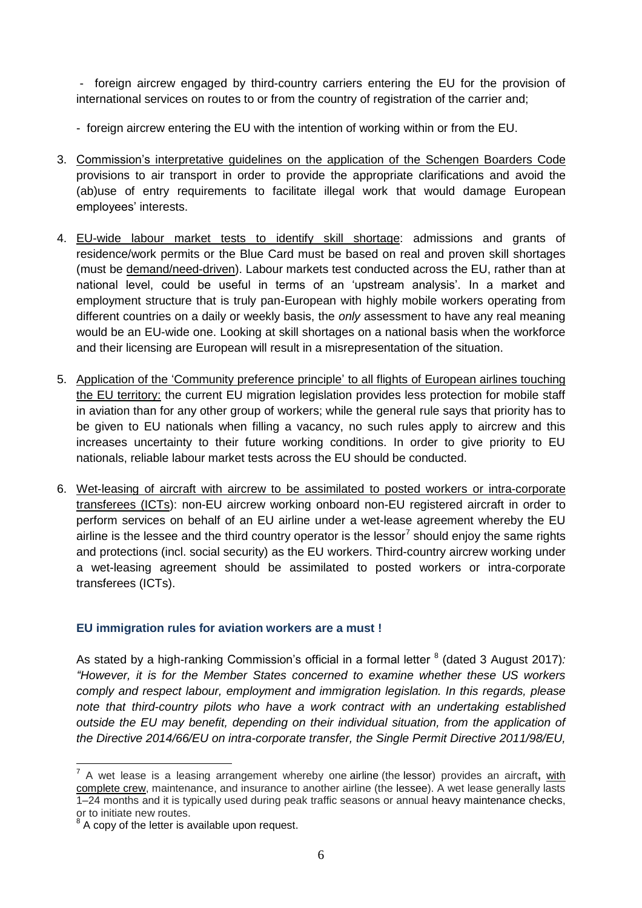- foreign aircrew engaged by third-country carriers entering the EU for the provision of international services on routes to or from the country of registration of the carrier and;

- foreign aircrew entering the EU with the intention of working within or from the EU.

- 3. Commission's interpretative guidelines on the application of the Schengen Boarders Code provisions to air transport in order to provide the appropriate clarifications and avoid the (ab)use of entry requirements to facilitate illegal work that would damage European employees' interests.
- 4. EU-wide labour market tests to identify skill shortage: admissions and grants of residence/work permits or the Blue Card must be based on real and proven skill shortages (must be demand/need-driven). Labour markets test conducted across the EU, rather than at national level, could be useful in terms of an 'upstream analysis'. In a market and employment structure that is truly pan-European with highly mobile workers operating from different countries on a daily or weekly basis, the *only* assessment to have any real meaning would be an EU-wide one. Looking at skill shortages on a national basis when the workforce and their licensing are European will result in a misrepresentation of the situation.
- 5. Application of the 'Community preference principle' to all flights of European airlines touching the EU territory: the current EU migration legislation provides less protection for mobile staff in aviation than for any other group of workers; while the general rule says that priority has to be given to EU nationals when filling a vacancy, no such rules apply to aircrew and this increases uncertainty to their future working conditions. In order to give priority to EU nationals, reliable labour market tests across the EU should be conducted.
- 6. Wet-leasing of aircraft with aircrew to be assimilated to posted workers or intra-corporate transferees (ICTs): non-EU aircrew working onboard non-EU registered aircraft in order to perform services on behalf of an EU airline under a wet-lease agreement whereby the EU airline is the lessee and the third country operator is the lessor<sup>7</sup> should enjoy the same rights and protections (incl. social security) as the EU workers. Third-country aircrew working under a wet-leasing agreement should be assimilated to posted workers or intra-corporate transferees (ICTs).

#### **EU immigration rules for aviation workers are a must !**

As stated by a high-ranking Commission's official in a formal letter <sup>8</sup> (dated 3 August 2017)*: "However, it is for the Member States concerned to examine whether these US workers comply and respect labour, employment and immigration legislation. In this regards, please note that third-country pilots who have a work contract with an undertaking established outside the EU may benefit, depending on their individual situation, from the application of the Directive 2014/66/EU on intra-corporate transfer, the Single Permit Directive 2011/98/EU,* 

 7 A wet lease is a leasing arrangement whereby one airline (the lessor) provides an aircraft**,** with complete crew, maintenance, and insurance to another airline (the lessee). A wet lease generally lasts 1–24 months and it is typically used during peak traffic seasons or annual heavy maintenance checks, or to initiate new routes.

 $8$  A copy of the letter is available upon request.